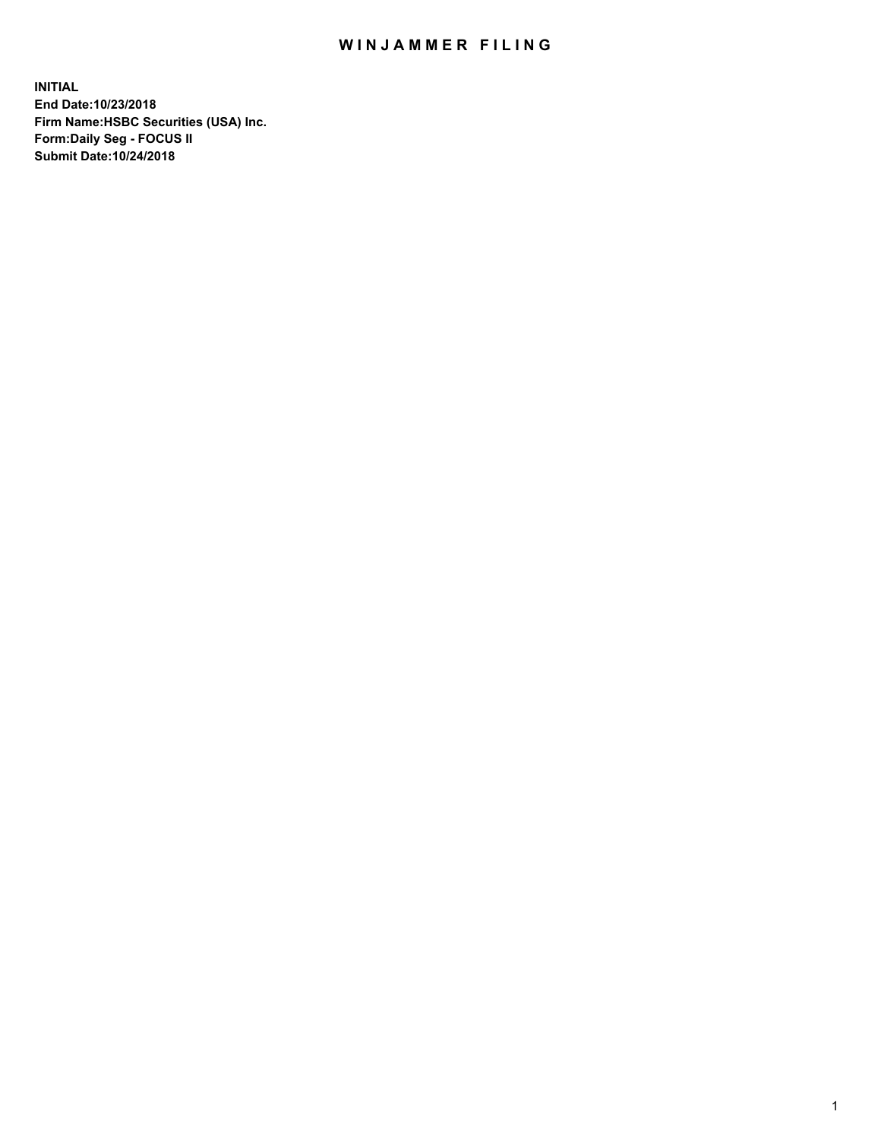## WIN JAMMER FILING

**INITIAL End Date:10/23/2018 Firm Name:HSBC Securities (USA) Inc. Form:Daily Seg - FOCUS II Submit Date:10/24/2018**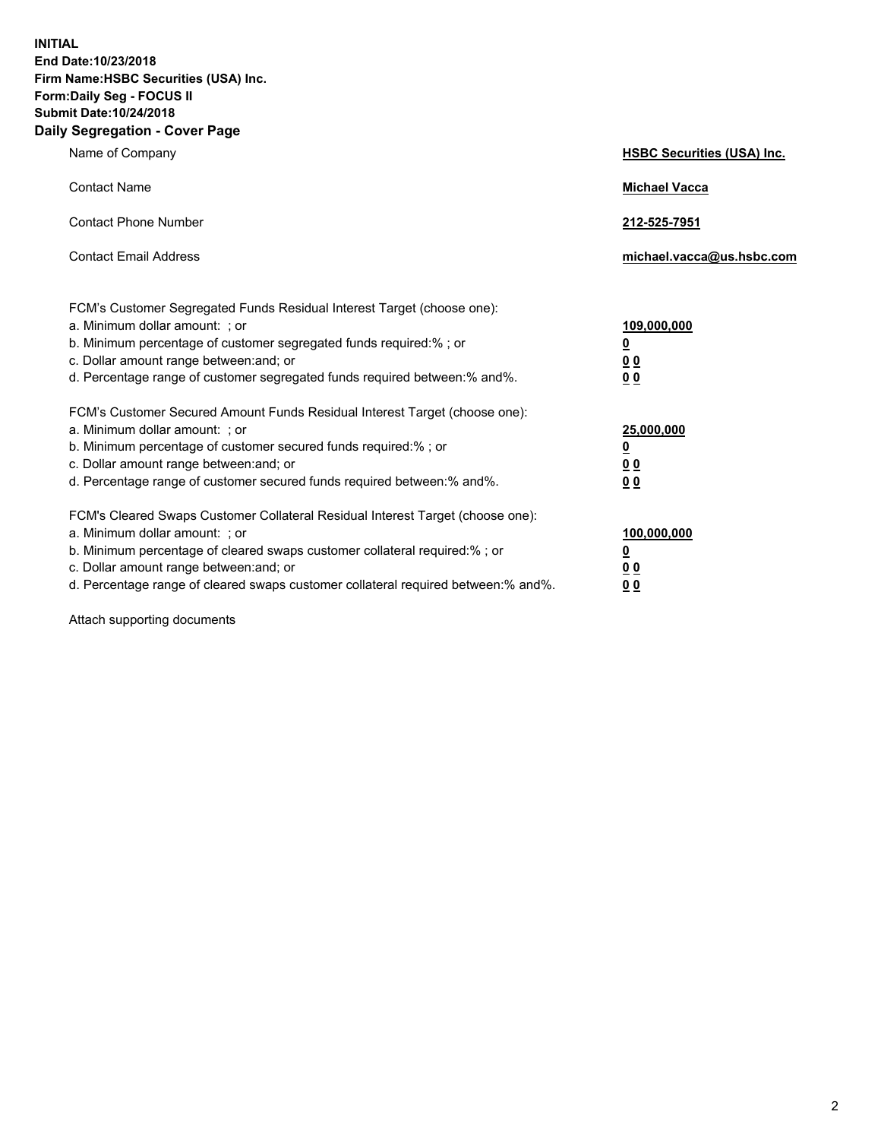**INITIAL End Date:10/23/2018 Firm Name:HSBC Securities (USA) Inc. Form:Daily Seg - FOCUS II Submit Date:10/24/2018 Daily Segregation - Cover Page**

| Name of Company                                                                                                                                                                                                                                                                                                                | <b>HSBC Securities (USA) Inc.</b>                                          |
|--------------------------------------------------------------------------------------------------------------------------------------------------------------------------------------------------------------------------------------------------------------------------------------------------------------------------------|----------------------------------------------------------------------------|
| <b>Contact Name</b>                                                                                                                                                                                                                                                                                                            | <b>Michael Vacca</b>                                                       |
| <b>Contact Phone Number</b>                                                                                                                                                                                                                                                                                                    | 212-525-7951                                                               |
| <b>Contact Email Address</b>                                                                                                                                                                                                                                                                                                   | michael.vacca@us.hsbc.com                                                  |
| FCM's Customer Segregated Funds Residual Interest Target (choose one):<br>a. Minimum dollar amount: : or<br>b. Minimum percentage of customer segregated funds required:% ; or<br>c. Dollar amount range between: and; or<br>d. Percentage range of customer segregated funds required between:% and%.                         | 109,000,000<br>$\overline{\mathbf{0}}$<br>0 <sub>0</sub><br>0 <sub>0</sub> |
| FCM's Customer Secured Amount Funds Residual Interest Target (choose one):<br>a. Minimum dollar amount: ; or<br>b. Minimum percentage of customer secured funds required:%; or<br>c. Dollar amount range between: and; or<br>d. Percentage range of customer secured funds required between:% and%.                            | 25,000,000<br><u>0</u><br>0 <sub>0</sub><br>00                             |
| FCM's Cleared Swaps Customer Collateral Residual Interest Target (choose one):<br>a. Minimum dollar amount: ; or<br>b. Minimum percentage of cleared swaps customer collateral required:% ; or<br>c. Dollar amount range between: and; or<br>d. Percentage range of cleared swaps customer collateral required between:% and%. | 100,000,000<br><u>0</u><br>00<br>0 <sub>0</sub>                            |

Attach supporting documents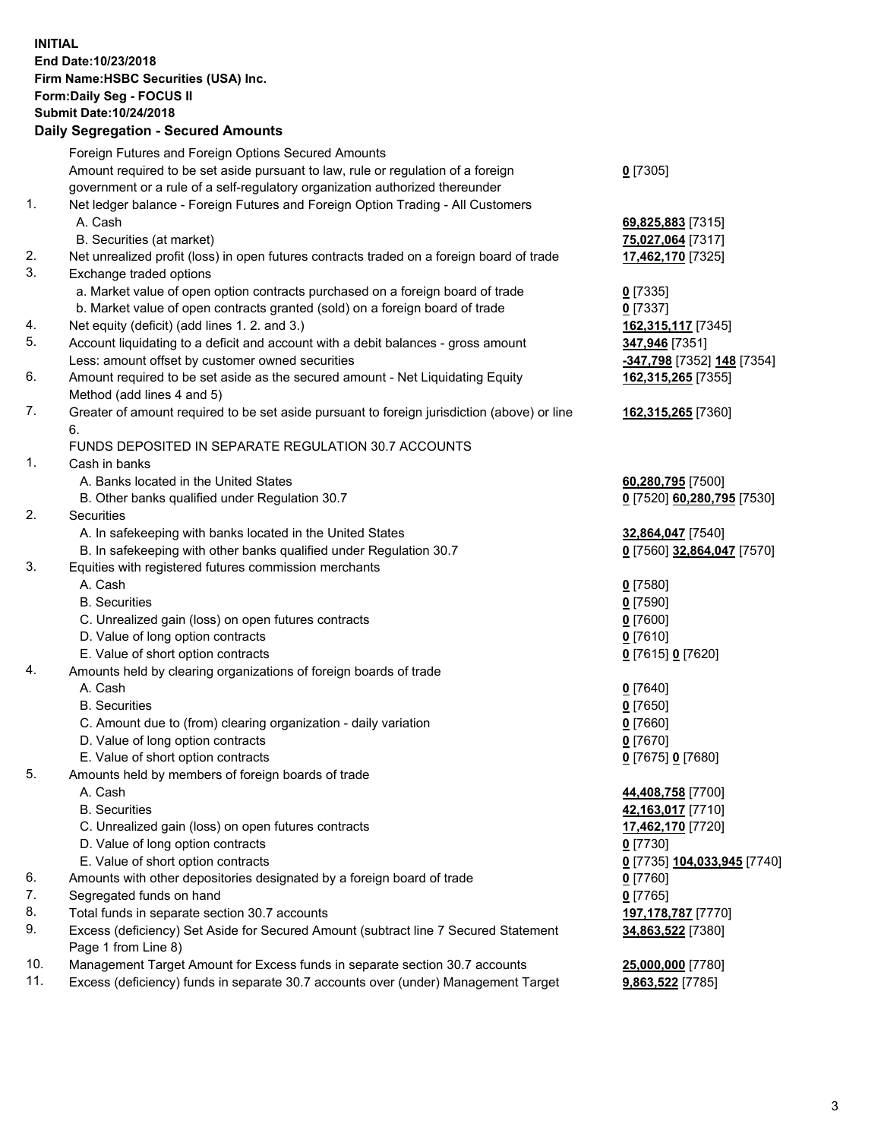**INITIAL End Date:10/23/2018 Firm Name:HSBC Securities (USA) Inc. Form:Daily Seg - FOCUS II Submit Date:10/24/2018 Daily Segregation - Secured Amounts** Foreign Futures and Foreign Options Secured Amounts Amount required to be set aside pursuant to law, rule or regulation of a foreign government or a rule of a self-regulatory organization authorized thereunder **0** [7305] 1. Net ledger balance - Foreign Futures and Foreign Option Trading - All Customers A. Cash **69,825,883** [7315] B. Securities (at market) **75,027,064** [7317] 2. Net unrealized profit (loss) in open futures contracts traded on a foreign board of trade **17,462,170** [7325] 3. Exchange traded options a. Market value of open option contracts purchased on a foreign board of trade **0** [7335] b. Market value of open contracts granted (sold) on a foreign board of trade **0** [7337] 4. Net equity (deficit) (add lines 1. 2. and 3.) **162,315,117** [7345] 5. Account liquidating to a deficit and account with a debit balances - gross amount **347,946** [7351] Less: amount offset by customer owned securities **-347,798** [7352] **148** [7354] 6. Amount required to be set aside as the secured amount - Net Liquidating Equity Method (add lines 4 and 5) **162,315,265** [7355] 7. Greater of amount required to be set aside pursuant to foreign jurisdiction (above) or line 6. **162,315,265** [7360] FUNDS DEPOSITED IN SEPARATE REGULATION 30.7 ACCOUNTS 1. Cash in banks A. Banks located in the United States **60,280,795** [7500] B. Other banks qualified under Regulation 30.7 **0** [7520] **60,280,795** [7530] 2. Securities A. In safekeeping with banks located in the United States **32,864,047** [7540] B. In safekeeping with other banks qualified under Regulation 30.7 **0** [7560] **32,864,047** [7570] 3. Equities with registered futures commission merchants A. Cash **0** [7580] B. Securities **0** [7590] C. Unrealized gain (loss) on open futures contracts **0** [7600] D. Value of long option contracts **0** [7610] E. Value of short option contracts **0** [7615] **0** [7620] 4. Amounts held by clearing organizations of foreign boards of trade A. Cash **0** [7640] B. Securities **0** [7650] C. Amount due to (from) clearing organization - daily variation **0** [7660] D. Value of long option contracts **0** [7670] E. Value of short option contracts **0** [7675] **0** [7680] 5. Amounts held by members of foreign boards of trade A. Cash **44,408,758** [7700] B. Securities **42,163,017** [7710]

- C. Unrealized gain (loss) on open futures contracts **17,462,170** [7720]
- D. Value of long option contracts **0** [7730]
- E. Value of short option contracts **0** [7735] **104,033,945** [7740]
- 6. Amounts with other depositories designated by a foreign board of trade **0** [7760]
- 7. Segregated funds on hand **0** [7765]
- 8. Total funds in separate section 30.7 accounts **197,178,787** [7770]
- 9. Excess (deficiency) Set Aside for Secured Amount (subtract line 7 Secured Statement Page 1 from Line 8)
- 10. Management Target Amount for Excess funds in separate section 30.7 accounts **25,000,000** [7780]
- 11. Excess (deficiency) funds in separate 30.7 accounts over (under) Management Target **9,863,522** [7785]

**34,863,522** [7380]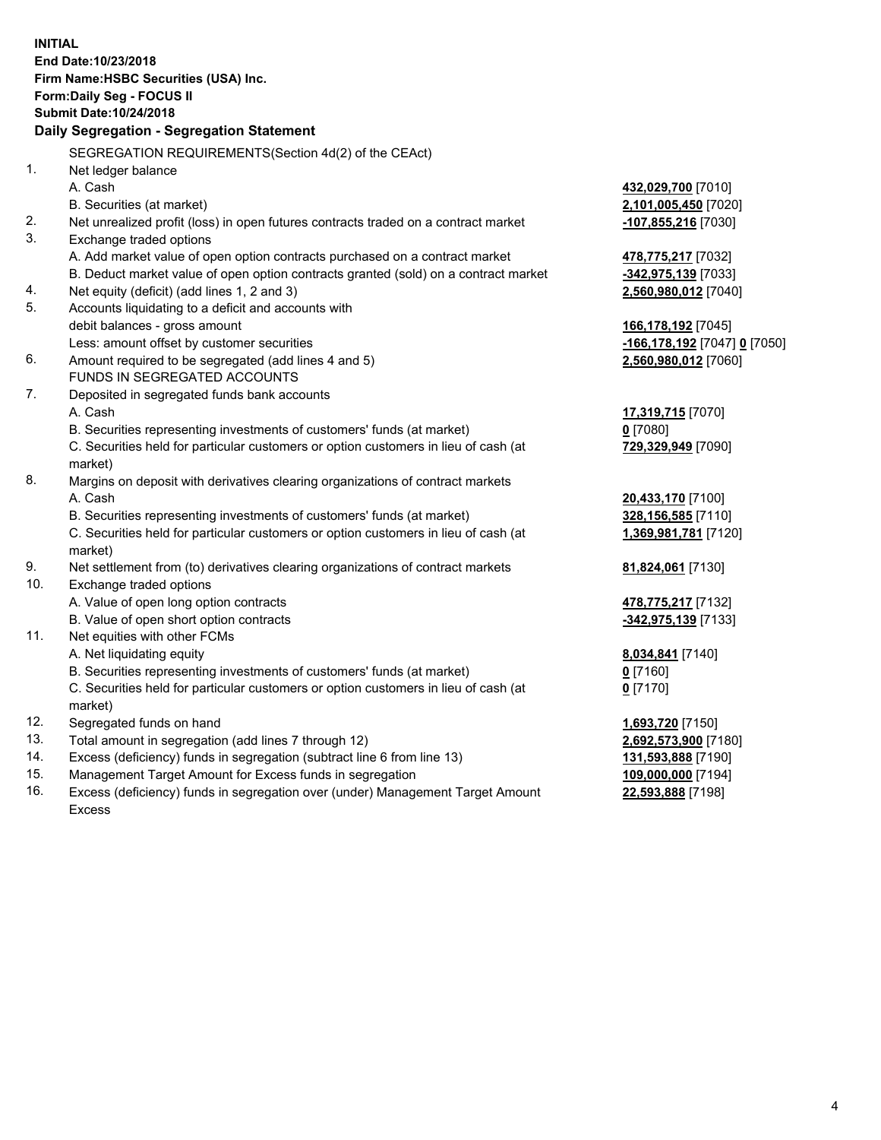**INITIAL End Date:10/23/2018 Firm Name:HSBC Securities (USA) Inc. Form:Daily Seg - FOCUS II Submit Date:10/24/2018 Daily Segregation - Segregation Statement** SEGREGATION REQUIREMENTS(Section 4d(2) of the CEAct) 1. Net ledger balance A. Cash **432,029,700** [7010] B. Securities (at market) **2,101,005,450** [7020] 2. Net unrealized profit (loss) in open futures contracts traded on a contract market **-107,855,216** [7030] 3. Exchange traded options A. Add market value of open option contracts purchased on a contract market **478,775,217** [7032] B. Deduct market value of open option contracts granted (sold) on a contract market **-342,975,139** [7033] 4. Net equity (deficit) (add lines 1, 2 and 3) **2,560,980,012** [7040] 5. Accounts liquidating to a deficit and accounts with debit balances - gross amount **166,178,192** [7045] Less: amount offset by customer securities **-166,178,192** [7047] **0** [7050] 6. Amount required to be segregated (add lines 4 and 5) **2,560,980,012** [7060] FUNDS IN SEGREGATED ACCOUNTS 7. Deposited in segregated funds bank accounts A. Cash **17,319,715** [7070] B. Securities representing investments of customers' funds (at market) **0** [7080] C. Securities held for particular customers or option customers in lieu of cash (at market) **729,329,949** [7090] 8. Margins on deposit with derivatives clearing organizations of contract markets A. Cash **20,433,170** [7100] B. Securities representing investments of customers' funds (at market) **328,156,585** [7110] C. Securities held for particular customers or option customers in lieu of cash (at market) **1,369,981,781** [7120] 9. Net settlement from (to) derivatives clearing organizations of contract markets **81,824,061** [7130] 10. Exchange traded options A. Value of open long option contracts **478,775,217** [7132] B. Value of open short option contracts **-342,975,139** [7133] 11. Net equities with other FCMs A. Net liquidating equity **8,034,841** [7140] B. Securities representing investments of customers' funds (at market) **0** [7160] C. Securities held for particular customers or option customers in lieu of cash (at market) **0** [7170] 12. Segregated funds on hand **1,693,720** [7150] 13. Total amount in segregation (add lines 7 through 12) **2,692,573,900** [7180] 14. Excess (deficiency) funds in segregation (subtract line 6 from line 13) **131,593,888** [7190] 15. Management Target Amount for Excess funds in segregation **109,000,000** [7194]

16. Excess (deficiency) funds in segregation over (under) Management Target Amount Excess

**22,593,888** [7198]